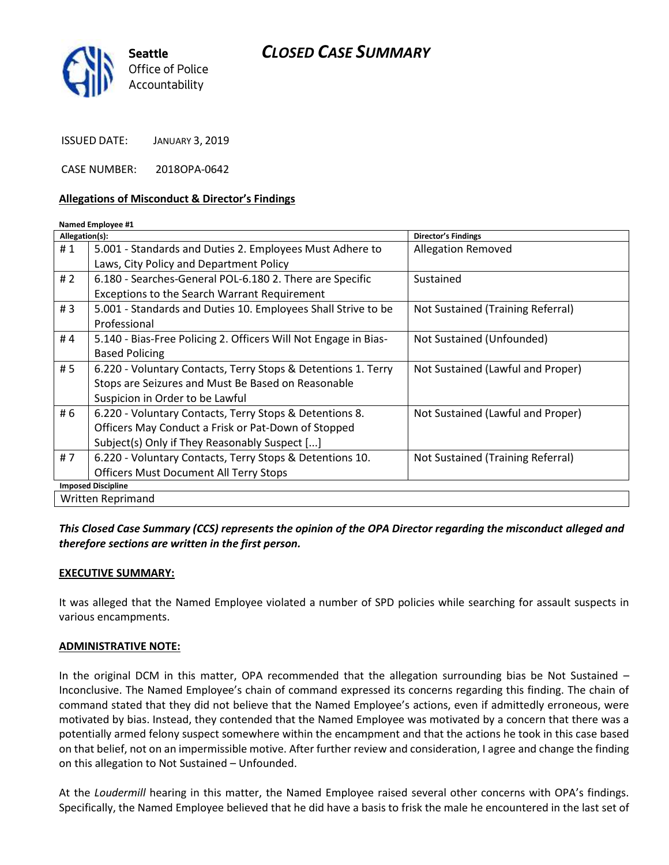# *CLOSED CASE SUMMARY*



ISSUED DATE: JANUARY 3, 2019

CASE NUMBER: 2018OPA-0642

#### **Allegations of Misconduct & Director's Findings**

#### **Named Employee #1**

| Allegation(s):            |                                                                 | Director's Findings               |
|---------------------------|-----------------------------------------------------------------|-----------------------------------|
| #1                        | 5.001 - Standards and Duties 2. Employees Must Adhere to        | <b>Allegation Removed</b>         |
|                           | Laws, City Policy and Department Policy                         |                                   |
| # $2$                     | 6.180 - Searches-General POL-6.180 2. There are Specific        | Sustained                         |
|                           | <b>Exceptions to the Search Warrant Requirement</b>             |                                   |
| #3                        | 5.001 - Standards and Duties 10. Employees Shall Strive to be   | Not Sustained (Training Referral) |
|                           | Professional                                                    |                                   |
| #4                        | 5.140 - Bias-Free Policing 2. Officers Will Not Engage in Bias- | Not Sustained (Unfounded)         |
|                           | <b>Based Policing</b>                                           |                                   |
| # 5                       | 6.220 - Voluntary Contacts, Terry Stops & Detentions 1. Terry   | Not Sustained (Lawful and Proper) |
|                           | Stops are Seizures and Must Be Based on Reasonable              |                                   |
|                           | Suspicion in Order to be Lawful                                 |                                   |
| # 6                       | 6.220 - Voluntary Contacts, Terry Stops & Detentions 8.         | Not Sustained (Lawful and Proper) |
|                           | Officers May Conduct a Frisk or Pat-Down of Stopped             |                                   |
|                           | Subject(s) Only if They Reasonably Suspect []                   |                                   |
| #7                        | 6.220 - Voluntary Contacts, Terry Stops & Detentions 10.        | Not Sustained (Training Referral) |
|                           | <b>Officers Must Document All Terry Stops</b>                   |                                   |
| <b>Imposed Discipline</b> |                                                                 |                                   |
| Written Reprimand         |                                                                 |                                   |

#### *This Closed Case Summary (CCS) represents the opinion of the OPA Director regarding the misconduct alleged and therefore sections are written in the first person.*

#### **EXECUTIVE SUMMARY:**

It was alleged that the Named Employee violated a number of SPD policies while searching for assault suspects in various encampments.

#### **ADMINISTRATIVE NOTE:**

In the original DCM in this matter, OPA recommended that the allegation surrounding bias be Not Sustained – Inconclusive. The Named Employee's chain of command expressed its concerns regarding this finding. The chain of command stated that they did not believe that the Named Employee's actions, even if admittedly erroneous, were motivated by bias. Instead, they contended that the Named Employee was motivated by a concern that there was a potentially armed felony suspect somewhere within the encampment and that the actions he took in this case based on that belief, not on an impermissible motive. After further review and consideration, I agree and change the finding on this allegation to Not Sustained – Unfounded.

At the *Loudermill* hearing in this matter, the Named Employee raised several other concerns with OPA's findings. Specifically, the Named Employee believed that he did have a basis to frisk the male he encountered in the last set of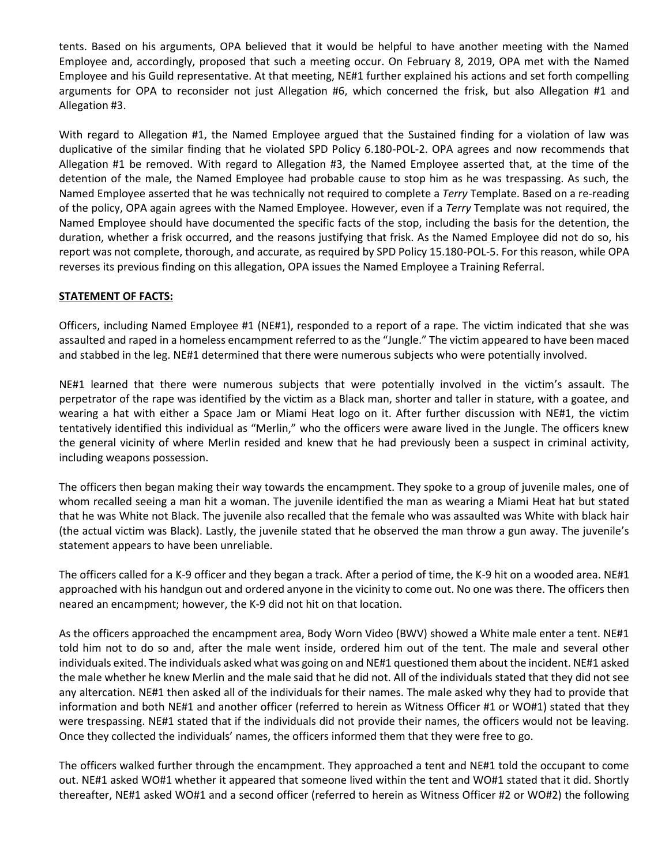tents. Based on his arguments, OPA believed that it would be helpful to have another meeting with the Named Employee and, accordingly, proposed that such a meeting occur. On February 8, 2019, OPA met with the Named Employee and his Guild representative. At that meeting, NE#1 further explained his actions and set forth compelling arguments for OPA to reconsider not just Allegation #6, which concerned the frisk, but also Allegation #1 and Allegation #3.

With regard to Allegation #1, the Named Employee argued that the Sustained finding for a violation of law was duplicative of the similar finding that he violated SPD Policy 6.180-POL-2. OPA agrees and now recommends that Allegation #1 be removed. With regard to Allegation #3, the Named Employee asserted that, at the time of the detention of the male, the Named Employee had probable cause to stop him as he was trespassing. As such, the Named Employee asserted that he was technically not required to complete a *Terry* Template. Based on a re-reading of the policy, OPA again agrees with the Named Employee. However, even if a *Terry* Template was not required, the Named Employee should have documented the specific facts of the stop, including the basis for the detention, the duration, whether a frisk occurred, and the reasons justifying that frisk. As the Named Employee did not do so, his report was not complete, thorough, and accurate, as required by SPD Policy 15.180-POL-5. For this reason, while OPA reverses its previous finding on this allegation, OPA issues the Named Employee a Training Referral.

#### **STATEMENT OF FACTS:**

Officers, including Named Employee #1 (NE#1), responded to a report of a rape. The victim indicated that she was assaulted and raped in a homeless encampment referred to as the "Jungle." The victim appeared to have been maced and stabbed in the leg. NE#1 determined that there were numerous subjects who were potentially involved.

NE#1 learned that there were numerous subjects that were potentially involved in the victim's assault. The perpetrator of the rape was identified by the victim as a Black man, shorter and taller in stature, with a goatee, and wearing a hat with either a Space Jam or Miami Heat logo on it. After further discussion with NE#1, the victim tentatively identified this individual as "Merlin," who the officers were aware lived in the Jungle. The officers knew the general vicinity of where Merlin resided and knew that he had previously been a suspect in criminal activity, including weapons possession.

The officers then began making their way towards the encampment. They spoke to a group of juvenile males, one of whom recalled seeing a man hit a woman. The juvenile identified the man as wearing a Miami Heat hat but stated that he was White not Black. The juvenile also recalled that the female who was assaulted was White with black hair (the actual victim was Black). Lastly, the juvenile stated that he observed the man throw a gun away. The juvenile's statement appears to have been unreliable.

The officers called for a K-9 officer and they began a track. After a period of time, the K-9 hit on a wooded area. NE#1 approached with his handgun out and ordered anyone in the vicinity to come out. No one was there. The officers then neared an encampment; however, the K-9 did not hit on that location.

As the officers approached the encampment area, Body Worn Video (BWV) showed a White male enter a tent. NE#1 told him not to do so and, after the male went inside, ordered him out of the tent. The male and several other individuals exited. The individuals asked what was going on and NE#1 questioned them about the incident. NE#1 asked the male whether he knew Merlin and the male said that he did not. All of the individuals stated that they did not see any altercation. NE#1 then asked all of the individuals for their names. The male asked why they had to provide that information and both NE#1 and another officer (referred to herein as Witness Officer #1 or WO#1) stated that they were trespassing. NE#1 stated that if the individuals did not provide their names, the officers would not be leaving. Once they collected the individuals' names, the officers informed them that they were free to go.

The officers walked further through the encampment. They approached a tent and NE#1 told the occupant to come out. NE#1 asked WO#1 whether it appeared that someone lived within the tent and WO#1 stated that it did. Shortly thereafter, NE#1 asked WO#1 and a second officer (referred to herein as Witness Officer #2 or WO#2) the following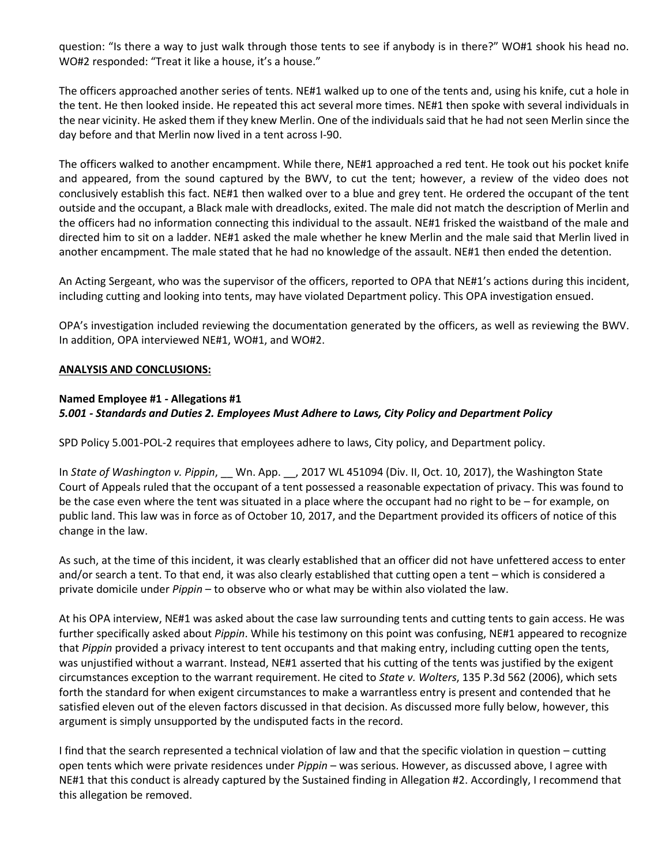question: "Is there a way to just walk through those tents to see if anybody is in there?" WO#1 shook his head no. WO#2 responded: "Treat it like a house, it's a house."

The officers approached another series of tents. NE#1 walked up to one of the tents and, using his knife, cut a hole in the tent. He then looked inside. He repeated this act several more times. NE#1 then spoke with several individuals in the near vicinity. He asked them if they knew Merlin. One of the individuals said that he had not seen Merlin since the day before and that Merlin now lived in a tent across I-90.

The officers walked to another encampment. While there, NE#1 approached a red tent. He took out his pocket knife and appeared, from the sound captured by the BWV, to cut the tent; however, a review of the video does not conclusively establish this fact. NE#1 then walked over to a blue and grey tent. He ordered the occupant of the tent outside and the occupant, a Black male with dreadlocks, exited. The male did not match the description of Merlin and the officers had no information connecting this individual to the assault. NE#1 frisked the waistband of the male and directed him to sit on a ladder. NE#1 asked the male whether he knew Merlin and the male said that Merlin lived in another encampment. The male stated that he had no knowledge of the assault. NE#1 then ended the detention.

An Acting Sergeant, who was the supervisor of the officers, reported to OPA that NE#1's actions during this incident, including cutting and looking into tents, may have violated Department policy. This OPA investigation ensued.

OPA's investigation included reviewing the documentation generated by the officers, as well as reviewing the BWV. In addition, OPA interviewed NE#1, WO#1, and WO#2.

#### **ANALYSIS AND CONCLUSIONS:**

# **Named Employee #1 - Allegations #1** *5.001 - Standards and Duties 2. Employees Must Adhere to Laws, City Policy and Department Policy*

SPD Policy 5.001-POL-2 requires that employees adhere to laws, City policy, and Department policy.

In *State of Washington v. Pippin*, \_\_ Wn. App. \_\_, 2017 WL 451094 (Div. II, Oct. 10, 2017), the Washington State Court of Appeals ruled that the occupant of a tent possessed a reasonable expectation of privacy. This was found to be the case even where the tent was situated in a place where the occupant had no right to be – for example, on public land. This law was in force as of October 10, 2017, and the Department provided its officers of notice of this change in the law.

As such, at the time of this incident, it was clearly established that an officer did not have unfettered access to enter and/or search a tent. To that end, it was also clearly established that cutting open a tent – which is considered a private domicile under *Pippin* – to observe who or what may be within also violated the law.

At his OPA interview, NE#1 was asked about the case law surrounding tents and cutting tents to gain access. He was further specifically asked about *Pippin*. While his testimony on this point was confusing, NE#1 appeared to recognize that *Pippin* provided a privacy interest to tent occupants and that making entry, including cutting open the tents, was unjustified without a warrant. Instead, NE#1 asserted that his cutting of the tents was justified by the exigent circumstances exception to the warrant requirement. He cited to *State v. Wolters*, 135 P.3d 562 (2006), which sets forth the standard for when exigent circumstances to make a warrantless entry is present and contended that he satisfied eleven out of the eleven factors discussed in that decision. As discussed more fully below, however, this argument is simply unsupported by the undisputed facts in the record.

I find that the search represented a technical violation of law and that the specific violation in question – cutting open tents which were private residences under *Pippin* – was serious. However, as discussed above, I agree with NE#1 that this conduct is already captured by the Sustained finding in Allegation #2. Accordingly, I recommend that this allegation be removed.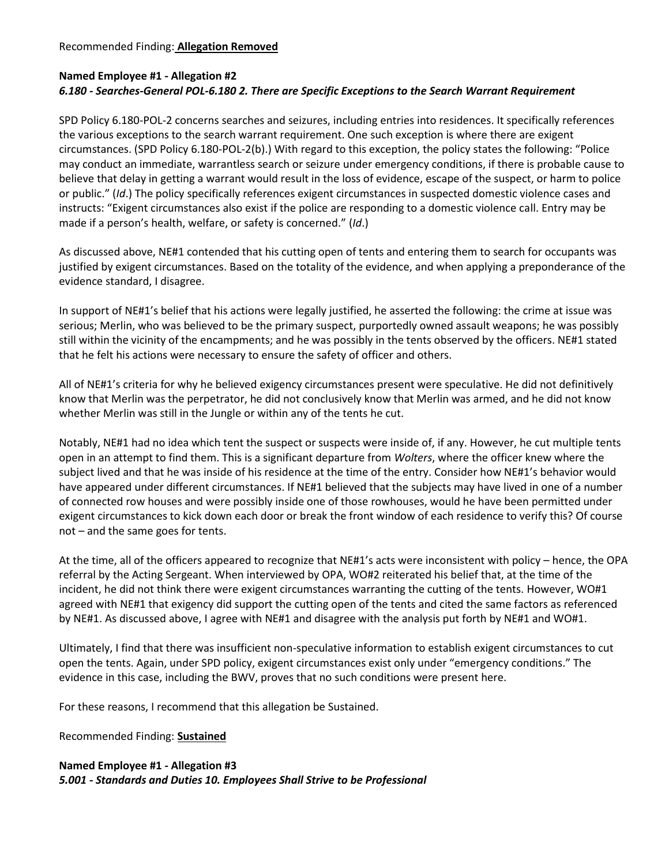# **Named Employee #1 - Allegation #2** *6.180 - Searches-General POL-6.180 2. There are Specific Exceptions to the Search Warrant Requirement*

SPD Policy 6.180-POL-2 concerns searches and seizures, including entries into residences. It specifically references the various exceptions to the search warrant requirement. One such exception is where there are exigent circumstances. (SPD Policy 6.180-POL-2(b).) With regard to this exception, the policy states the following: "Police may conduct an immediate, warrantless search or seizure under emergency conditions, if there is probable cause to believe that delay in getting a warrant would result in the loss of evidence, escape of the suspect, or harm to police or public." (*Id*.) The policy specifically references exigent circumstances in suspected domestic violence cases and instructs: "Exigent circumstances also exist if the police are responding to a domestic violence call. Entry may be made if a person's health, welfare, or safety is concerned." (*Id*.)

As discussed above, NE#1 contended that his cutting open of tents and entering them to search for occupants was justified by exigent circumstances. Based on the totality of the evidence, and when applying a preponderance of the evidence standard, I disagree.

In support of NE#1's belief that his actions were legally justified, he asserted the following: the crime at issue was serious; Merlin, who was believed to be the primary suspect, purportedly owned assault weapons; he was possibly still within the vicinity of the encampments; and he was possibly in the tents observed by the officers. NE#1 stated that he felt his actions were necessary to ensure the safety of officer and others.

All of NE#1's criteria for why he believed exigency circumstances present were speculative. He did not definitively know that Merlin was the perpetrator, he did not conclusively know that Merlin was armed, and he did not know whether Merlin was still in the Jungle or within any of the tents he cut.

Notably, NE#1 had no idea which tent the suspect or suspects were inside of, if any. However, he cut multiple tents open in an attempt to find them. This is a significant departure from *Wolters*, where the officer knew where the subject lived and that he was inside of his residence at the time of the entry. Consider how NE#1's behavior would have appeared under different circumstances. If NE#1 believed that the subjects may have lived in one of a number of connected row houses and were possibly inside one of those rowhouses, would he have been permitted under exigent circumstances to kick down each door or break the front window of each residence to verify this? Of course not – and the same goes for tents.

At the time, all of the officers appeared to recognize that NE#1's acts were inconsistent with policy – hence, the OPA referral by the Acting Sergeant. When interviewed by OPA, WO#2 reiterated his belief that, at the time of the incident, he did not think there were exigent circumstances warranting the cutting of the tents. However, WO#1 agreed with NE#1 that exigency did support the cutting open of the tents and cited the same factors as referenced by NE#1. As discussed above, I agree with NE#1 and disagree with the analysis put forth by NE#1 and WO#1.

Ultimately, I find that there was insufficient non-speculative information to establish exigent circumstances to cut open the tents. Again, under SPD policy, exigent circumstances exist only under "emergency conditions." The evidence in this case, including the BWV, proves that no such conditions were present here.

For these reasons, I recommend that this allegation be Sustained.

Recommended Finding: **Sustained**

# **Named Employee #1 - Allegation #3** *5.001 - Standards and Duties 10. Employees Shall Strive to be Professional*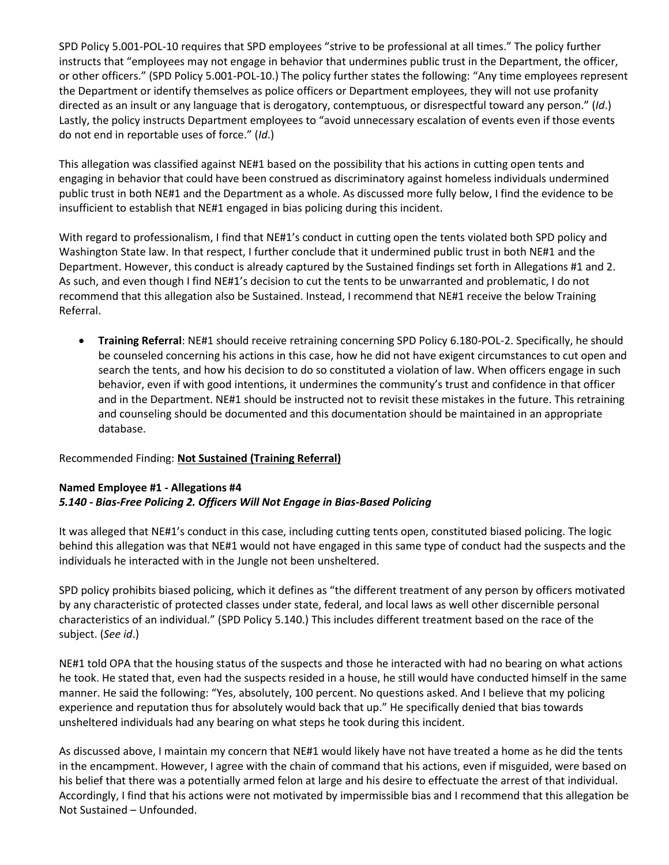SPD Policy 5.001-POL-10 requires that SPD employees "strive to be professional at all times." The policy further instructs that "employees may not engage in behavior that undermines public trust in the Department, the officer, or other officers." (SPD Policy 5.001-POL-10.) The policy further states the following: "Any time employees represent the Department or identify themselves as police officers or Department employees, they will not use profanity directed as an insult or any language that is derogatory, contemptuous, or disrespectful toward any person." (*Id*.) Lastly, the policy instructs Department employees to "avoid unnecessary escalation of events even if those events do not end in reportable uses of force." (*Id*.)

This allegation was classified against NE#1 based on the possibility that his actions in cutting open tents and engaging in behavior that could have been construed as discriminatory against homeless individuals undermined public trust in both NE#1 and the Department as a whole. As discussed more fully below, I find the evidence to be insufficient to establish that NE#1 engaged in bias policing during this incident.

With regard to professionalism, I find that NE#1's conduct in cutting open the tents violated both SPD policy and Washington State law. In that respect, I further conclude that it undermined public trust in both NE#1 and the Department. However, this conduct is already captured by the Sustained findings set forth in Allegations #1 and 2. As such, and even though I find NE#1's decision to cut the tents to be unwarranted and problematic, I do not recommend that this allegation also be Sustained. Instead, I recommend that NE#1 receive the below Training Referral.

• **Training Referral**: NE#1 should receive retraining concerning SPD Policy 6.180-POL-2. Specifically, he should be counseled concerning his actions in this case, how he did not have exigent circumstances to cut open and search the tents, and how his decision to do so constituted a violation of law. When officers engage in such behavior, even if with good intentions, it undermines the community's trust and confidence in that officer and in the Department. NE#1 should be instructed not to revisit these mistakes in the future. This retraining and counseling should be documented and this documentation should be maintained in an appropriate database.

#### Recommended Finding: **Not Sustained (Training Referral)**

#### **Named Employee #1 - Allegations #4** *5.140 - Bias-Free Policing 2. Officers Will Not Engage in Bias-Based Policing*

It was alleged that NE#1's conduct in this case, including cutting tents open, constituted biased policing. The logic behind this allegation was that NE#1 would not have engaged in this same type of conduct had the suspects and the individuals he interacted with in the Jungle not been unsheltered.

SPD policy prohibits biased policing, which it defines as "the different treatment of any person by officers motivated by any characteristic of protected classes under state, federal, and local laws as well other discernible personal characteristics of an individual." (SPD Policy 5.140.) This includes different treatment based on the race of the subject. (*See id*.)

NE#1 told OPA that the housing status of the suspects and those he interacted with had no bearing on what actions he took. He stated that, even had the suspects resided in a house, he still would have conducted himself in the same manner. He said the following: "Yes, absolutely, 100 percent. No questions asked. And I believe that my policing experience and reputation thus for absolutely would back that up." He specifically denied that bias towards unsheltered individuals had any bearing on what steps he took during this incident.

As discussed above, I maintain my concern that NE#1 would likely have not have treated a home as he did the tents in the encampment. However, I agree with the chain of command that his actions, even if misguided, were based on his belief that there was a potentially armed felon at large and his desire to effectuate the arrest of that individual. Accordingly, I find that his actions were not motivated by impermissible bias and I recommend that this allegation be Not Sustained – Unfounded.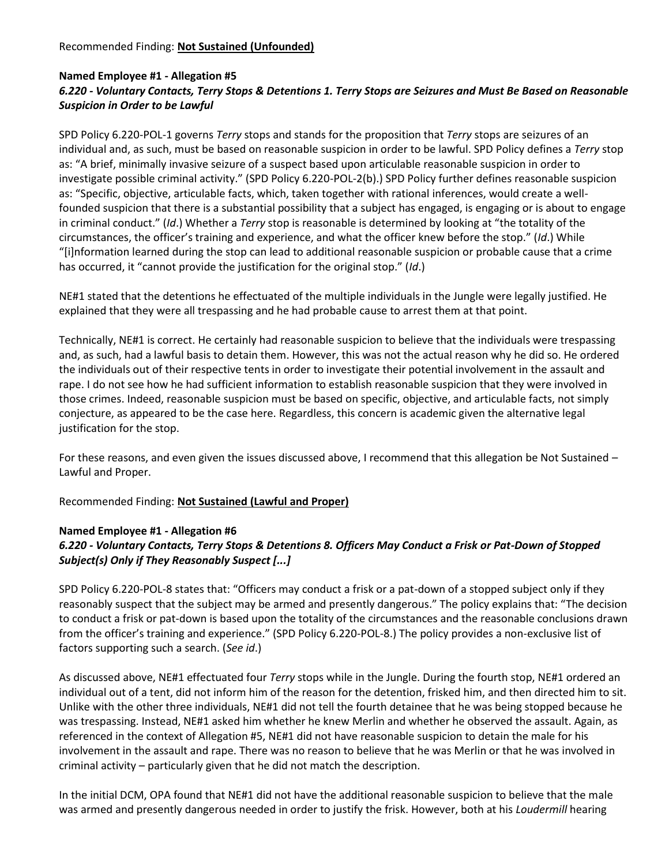# **Named Employee #1 - Allegation #5** *6.220 - Voluntary Contacts, Terry Stops & Detentions 1. Terry Stops are Seizures and Must Be Based on Reasonable Suspicion in Order to be Lawful*

SPD Policy 6.220-POL-1 governs *Terry* stops and stands for the proposition that *Terry* stops are seizures of an individual and, as such, must be based on reasonable suspicion in order to be lawful. SPD Policy defines a *Terry* stop as: "A brief, minimally invasive seizure of a suspect based upon articulable reasonable suspicion in order to investigate possible criminal activity." (SPD Policy 6.220-POL-2(b).) SPD Policy further defines reasonable suspicion as: "Specific, objective, articulable facts, which, taken together with rational inferences, would create a wellfounded suspicion that there is a substantial possibility that a subject has engaged, is engaging or is about to engage in criminal conduct." (*Id*.) Whether a *Terry* stop is reasonable is determined by looking at "the totality of the circumstances, the officer's training and experience, and what the officer knew before the stop." (*Id*.) While "[i]nformation learned during the stop can lead to additional reasonable suspicion or probable cause that a crime has occurred, it "cannot provide the justification for the original stop." (*Id*.)

NE#1 stated that the detentions he effectuated of the multiple individuals in the Jungle were legally justified. He explained that they were all trespassing and he had probable cause to arrest them at that point.

Technically, NE#1 is correct. He certainly had reasonable suspicion to believe that the individuals were trespassing and, as such, had a lawful basis to detain them. However, this was not the actual reason why he did so. He ordered the individuals out of their respective tents in order to investigate their potential involvement in the assault and rape. I do not see how he had sufficient information to establish reasonable suspicion that they were involved in those crimes. Indeed, reasonable suspicion must be based on specific, objective, and articulable facts, not simply conjecture, as appeared to be the case here. Regardless, this concern is academic given the alternative legal justification for the stop.

For these reasons, and even given the issues discussed above, I recommend that this allegation be Not Sustained – Lawful and Proper.

Recommended Finding: **Not Sustained (Lawful and Proper)**

# **Named Employee #1 - Allegation #6**

# *6.220 - Voluntary Contacts, Terry Stops & Detentions 8. Officers May Conduct a Frisk or Pat-Down of Stopped Subject(s) Only if They Reasonably Suspect [...]*

SPD Policy 6.220-POL-8 states that: "Officers may conduct a frisk or a pat-down of a stopped subject only if they reasonably suspect that the subject may be armed and presently dangerous." The policy explains that: "The decision to conduct a frisk or pat-down is based upon the totality of the circumstances and the reasonable conclusions drawn from the officer's training and experience." (SPD Policy 6.220-POL-8.) The policy provides a non-exclusive list of factors supporting such a search. (*See id*.)

As discussed above, NE#1 effectuated four *Terry* stops while in the Jungle. During the fourth stop, NE#1 ordered an individual out of a tent, did not inform him of the reason for the detention, frisked him, and then directed him to sit. Unlike with the other three individuals, NE#1 did not tell the fourth detainee that he was being stopped because he was trespassing. Instead, NE#1 asked him whether he knew Merlin and whether he observed the assault. Again, as referenced in the context of Allegation #5, NE#1 did not have reasonable suspicion to detain the male for his involvement in the assault and rape. There was no reason to believe that he was Merlin or that he was involved in criminal activity – particularly given that he did not match the description.

In the initial DCM, OPA found that NE#1 did not have the additional reasonable suspicion to believe that the male was armed and presently dangerous needed in order to justify the frisk. However, both at his *Loudermill* hearing